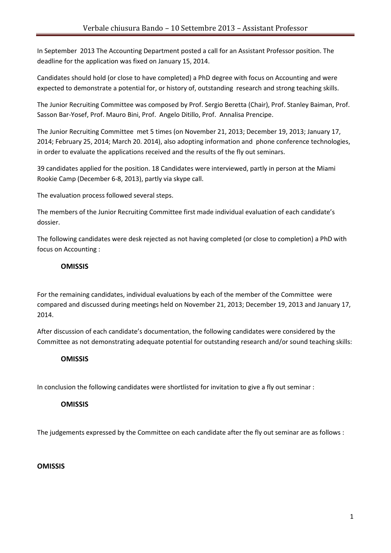In September 2013 The Accounting Department posted a call for an Assistant Professor position. The deadline for the application was fixed on January 15, 2014.

Candidates should hold (or close to have completed) a PhD degree with focus on Accounting and were expected to demonstrate a potential for, or history of, outstanding research and strong teaching skills.

The Junior Recruiting Committee was composed by Prof. Sergio Beretta (Chair), Prof. Stanley Baiman, Prof. Sasson Bar-Yosef, Prof. Mauro Bini, Prof. Angelo Ditillo, Prof. Annalisa Prencipe.

The Junior Recruiting Committee met 5 times (on November 21, 2013; December 19, 2013; January 17, 2014; February 25, 2014; March 20. 2014), also adopting information and phone conference technologies, in order to evaluate the applications received and the results of the fly out seminars.

39 candidates applied for the position. 18 Candidates were interviewed, partly in person at the Miami Rookie Camp (December 6-8, 2013), partly via skype call.

The evaluation process followed several steps.

The members of the Junior Recruiting Committee first made individual evaluation of each candidate's dossier.

The following candidates were desk rejected as not having completed (or close to completion) a PhD with focus on Accounting :

## **OMISSIS**

For the remaining candidates, individual evaluations by each of the member of the Committee were compared and discussed during meetings held on November 21, 2013; December 19, 2013 and January 17, 2014.

After discussion of each candidate's documentation, the following candidates were considered by the Committee as not demonstrating adequate potential for outstanding research and/or sound teaching skills:

## **OMISSIS**

In conclusion the following candidates were shortlisted for invitation to give a fly out seminar :

## **OMISSIS**

The judgements expressed by the Committee on each candidate after the fly out seminar are as follows :

## **OMISSIS**